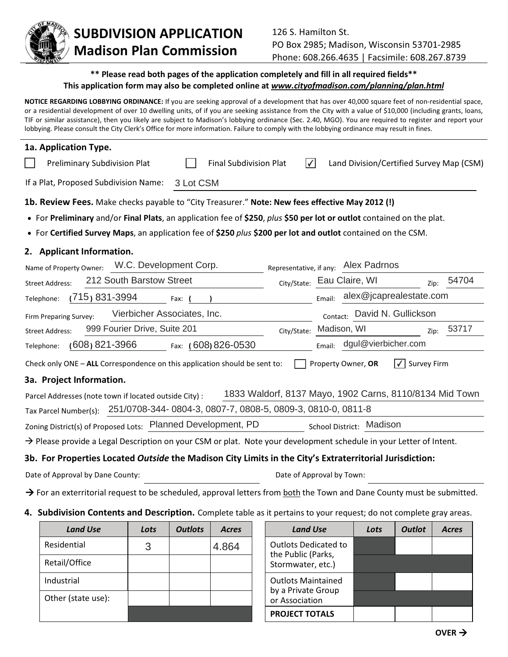

## **SUBDIVISION APPLICATION Madison Plan Commission**

## **\*\* Please read both pages of the application completely and fill in all required fields\*\* This application form may also be completed online at** *www.cityofmadison.com/planning/plan.html*

**NOTICE REGARDING LOBBYING ORDINANCE:** If you are seeking approval of a development that has over 40,000 square feet of non-residential space, or a residential development of over 10 dwelling units, of if you are seeking assistance from the City with a value of \$10,000 (including grants, loans, TIF or similar assistance), then you likely are subject to Madison's lobbying ordinance (Sec. 2.40, MGO). You are required to register and report your lobbying. Please consult the City Clerk's Office for more information. Failure to comply with the lobbying ordinance may result in fines.

| 1a. Application Type.                                                                                                                |       |
|--------------------------------------------------------------------------------------------------------------------------------------|-------|
| $ \mathcal{N} $<br><b>Preliminary Subdivision Plat</b><br><b>Final Subdivision Plat</b><br>Land Division/Certified Survey Map (CSM)  |       |
| If a Plat, Proposed Subdivision Name:<br>3 Lot CSM                                                                                   |       |
| 1b. Review Fees. Make checks payable to "City Treasurer." Note: New fees effective May 2012 (!)                                      |       |
| • For Preliminary and/or Final Plats, an application fee of \$250, plus \$50 per lot or outlot contained on the plat.                |       |
| • For Certified Survey Maps, an application fee of \$250 plus \$200 per lot and outlot contained on the CSM.                         |       |
| 2. Applicant Information.                                                                                                            |       |
| W.C. Development Corp.<br>Representative, if any: Alex Padrnos<br>Name of Property Owner:                                            |       |
| 212 South Barstow Street<br>City/State: Eau Claire, WI<br><b>Street Address:</b><br>Zip:                                             | 54704 |
| alex@jcaprealestate.com<br>(715) 831-3994<br>Telephone:<br>Email:<br>Fax: (                                                          |       |
| Vierbicher Associates, Inc.<br>David N. Gullickson<br>Firm Preparing Survey:<br>Contact:                                             |       |
| 999 Fourier Drive, Suite 201<br>Madison, WI<br>City/State:<br><b>Street Address:</b><br>Zip:                                         | 53717 |
| dgul@vierbicher.com<br>$(608)$ 821-3966<br>Fax: (608) 826-0530<br>Email:<br>Telephone:                                               |       |
| Check only ONE - ALL Correspondence on this application should be sent to:<br>Property Owner, OR<br><b>Survey Firm</b><br>$\sqrt{ }$ |       |
| 3a. Project Information.                                                                                                             |       |
| 1833 Waldorf, 8137 Mayo, 1902 Carns, 8110/8134 Mid Town<br>Parcel Addresses (note town if located outside City) :                    |       |
| 251/0708-344-0804-3, 0807-7, 0808-5, 0809-3, 0810-0, 0811-8<br>Tax Parcel Number(s):                                                 |       |
| Zoning District(s) of Proposed Lots: Planned Development, PD<br>School District: Madison                                             |       |
| $\rightarrow$ Please provide a Legal Description on your CSM or plat. Note your development schedule in your Letter of Intent.       |       |
| 3b. For Properties Located Outside the Madison City Limits in the City's Extraterritorial Jurisdiction:                              |       |
| Date of Approval by Dane County:<br>Date of Approval by Town:                                                                        |       |

> For an exterritorial request to be scheduled, approval letters from both the Town and Dane County must be submitted.

**4. Subdivision Contents and Description.** Complete table as it pertains to your request; do not complete gray areas.

| <b>Land Use</b>    | Lots | <b>Outlots</b> | <b>Acres</b> | <b>Land Use</b>                                   | Lots | <b>Outlot</b> | <b>Acres</b> |
|--------------------|------|----------------|--------------|---------------------------------------------------|------|---------------|--------------|
| Residential        | 3    |                | 4.864        | <b>Outlots Dedicated to</b><br>the Public (Parks, |      |               |              |
| Retail/Office      |      |                |              | Stormwater, etc.)                                 |      |               |              |
| Industrial         |      |                |              | <b>Outlots Maintained</b>                         |      |               |              |
| Other (state use): |      |                |              | by a Private Group<br>or Association              |      |               |              |
|                    |      |                |              | <b>PROJECT TOTALS</b>                             |      |               |              |